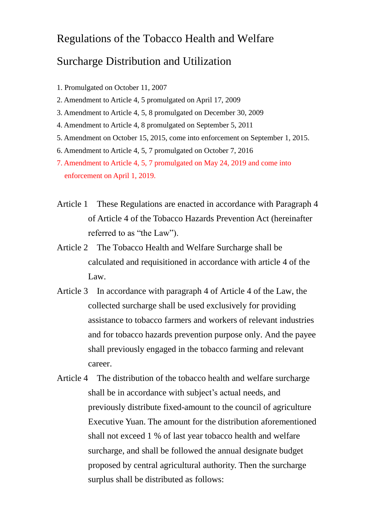## Regulations of the Tobacco Health and Welfare

## Surcharge Distribution and Utilization

- 1. Promulgated on October 11, 2007
- 2. Amendment to Article 4, 5 promulgated on April 17, 2009
- 3. Amendment to Article 4, 5, 8 promulgated on December 30, 2009
- 4. Amendment to Article 4, 8 promulgated on September 5, 2011
- 5. Amendment on October 15, 2015, come into enforcement on September 1, 2015.
- 6. Amendment to Article 4, 5, 7 promulgated on October 7, 2016
- 7. Amendment to Article 4, 5, 7 promulgated on May 24, 2019 and come into enforcement on April 1, 2019.
- Article 1 These Regulations are enacted in accordance with Paragraph 4 of Article 4 of the Tobacco Hazards Prevention Act (hereinafter referred to as "the Law").
- Article 2 The Tobacco Health and Welfare Surcharge shall be calculated and requisitioned in accordance with article 4 of the Law.
- Article 3 In accordance with paragraph 4 of Article 4 of the Law, the collected surcharge shall be used exclusively for providing assistance to tobacco farmers and workers of relevant industries and for tobacco hazards prevention purpose only. And the payee shall previously engaged in the tobacco farming and relevant career.
- Article 4 The distribution of the tobacco health and welfare surcharge shall be in accordance with subject's actual needs, and previously distribute fixed-amount to the council of agriculture Executive Yuan. The amount for the distribution aforementioned shall not exceed 1 % of last year tobacco health and welfare surcharge, and shall be followed the annual designate budget proposed by central agricultural authority. Then the surcharge surplus shall be distributed as follows: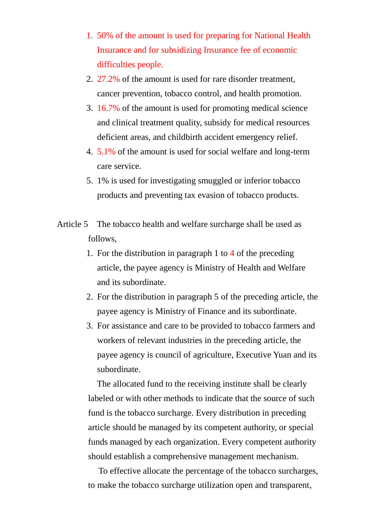- 1. 50% of the amount is used for preparing for National Health Insurance and for subsidizing Insurance fee of economic difficulties people.
- 2. 27.2% of the amount is used for rare disorder treatment, cancer prevention, tobacco control, and health promotion.
- 3. 16.7% of the amount is used for promoting medical science and clinical treatment quality, subsidy for medical resources deficient areas, and childbirth accident emergency relief.
- 4. 5.1% of the amount is used for social welfare and long-term care service.
- 5. 1% is used for investigating smuggled or inferior tobacco products and preventing tax evasion of tobacco products.
- Article 5 The tobacco health and welfare surcharge shall be used as follows,
	- 1. For the distribution in paragraph 1 to 4 of the preceding article, the payee agency is Ministry of Health and Welfare and its subordinate.
	- 2. For the distribution in paragraph 5 of the preceding article, the payee agency is Ministry of Finance and its subordinate.
	- 3. For assistance and care to be provided to tobacco farmers and workers of relevant industries in the preceding article, the payee agency is council of agriculture, Executive Yuan and its subordinate.

The allocated fund to the receiving institute shall be clearly labeled or with other methods to indicate that the source of such fund is the tobacco surcharge. Every distribution in preceding article should be managed by its competent authority, or special funds managed by each organization. Every competent authority should establish a comprehensive management mechanism.

To effective allocate the percentage of the tobacco surcharges, to make the tobacco surcharge utilization open and transparent,